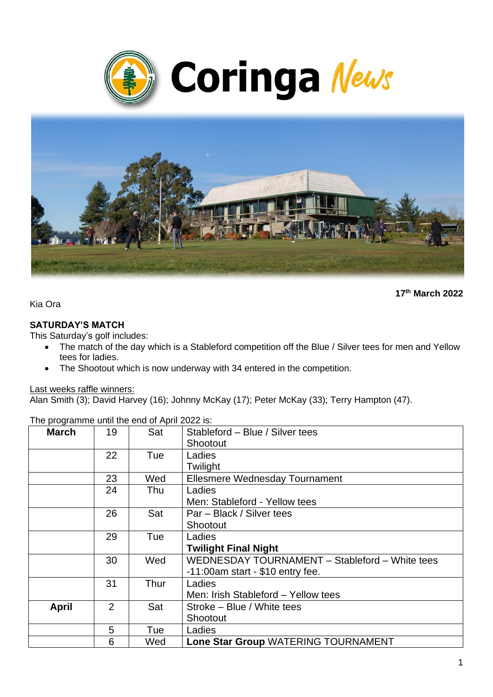



**17th March 2022**

Kia Ora

## **SATURDAY'S MATCH**

This Saturday's golf includes:

- The match of the day which is a Stableford competition off the Blue / Silver tees for men and Yellow tees for ladies.
- The Shootout which is now underway with 34 entered in the competition.

Last weeks raffle winners:

Alan Smith (3); David Harvey (16); Johnny McKay (17); Peter McKay (33); Terry Hampton (47).

The programme until the end of April 2022 is:

| <b>March</b> | 19             | Sat  | Stableford - Blue / Silver tees                |
|--------------|----------------|------|------------------------------------------------|
|              |                |      | Shootout                                       |
|              |                |      |                                                |
|              | 22             | Tue  | Ladies                                         |
|              |                |      | Twilight                                       |
|              | 23             | Wed  | Ellesmere Wednesday Tournament                 |
|              | 24             | Thu  | Ladies                                         |
|              |                |      | Men: Stableford - Yellow tees                  |
|              | 26             | Sat  | Par - Black / Silver tees                      |
|              |                |      | Shootout                                       |
|              | 29             | Tue  | Ladies                                         |
|              |                |      | <b>Twilight Final Night</b>                    |
|              | 30             | Wed  | WEDNESDAY TOURNAMENT - Stableford - White tees |
|              |                |      | $-11:00$ am start - \$10 entry fee.            |
|              | 31             | Thur | Ladies                                         |
|              |                |      | Men: Irish Stableford - Yellow tees            |
| April        | $\overline{2}$ | Sat  | Stroke - Blue / White tees                     |
|              |                |      | Shootout                                       |
|              | 5              | Tue  | Ladies                                         |
|              | 6              | Wed  | Lone Star Group WATERING TOURNAMENT            |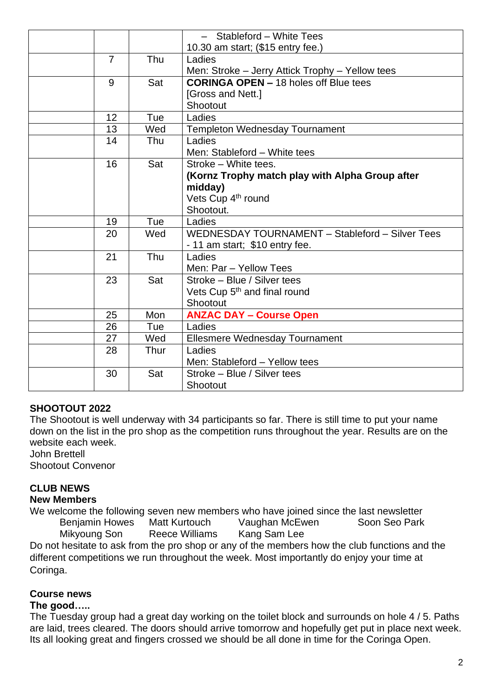|                |      | - Stableford - White Tees                       |  |
|----------------|------|-------------------------------------------------|--|
|                |      | 10.30 am start; (\$15 entry fee.)               |  |
| $\overline{7}$ | Thu  | Ladies                                          |  |
|                |      | Men: Stroke - Jerry Attick Trophy - Yellow tees |  |
| 9              | Sat  | <b>CORINGA OPEN - 18 holes off Blue tees</b>    |  |
|                |      | [Gross and Nett.]                               |  |
|                |      | Shootout                                        |  |
| 12             | Tue  | Ladies                                          |  |
| 13             | Wed  | <b>Templeton Wednesday Tournament</b>           |  |
| 14             | Thu  | Ladies                                          |  |
|                |      | Men: Stableford - White tees                    |  |
| 16             | Sat  | Stroke - White tees.                            |  |
|                |      | (Kornz Trophy match play with Alpha Group after |  |
|                |      | midday)                                         |  |
|                |      | Vets Cup 4 <sup>th</sup> round                  |  |
|                |      | Shootout.                                       |  |
| 19             | Tue  | Ladies                                          |  |
| 20             | Wed  | WEDNESDAY TOURNAMENT - Stableford - Silver Tees |  |
|                |      |                                                 |  |
| 21             | Thu  | Ladies                                          |  |
|                |      | Men: Par - Yellow Tees                          |  |
| 23             | Sat  | Stroke - Blue / Silver tees                     |  |
|                |      | Vets Cup 5 <sup>th</sup> and final round        |  |
|                |      | Shootout                                        |  |
| 25             | Mon  | <b>ANZAC DAY - Course Open</b>                  |  |
| 26             | Tue  | Ladies                                          |  |
| 27             | Wed  | Ellesmere Wednesday Tournament                  |  |
| 28             | Thur | Ladies                                          |  |
|                |      | Men: Stableford - Yellow tees                   |  |
| 30             | Sat  | Stroke - Blue / Silver tees                     |  |
|                |      | Shootout                                        |  |
|                |      | - 11 am start; \$10 entry fee.                  |  |

## **SHOOTOUT 2022**

The Shootout is well underway with 34 participants so far. There is still time to put your name down on the list in the pro shop as the competition runs throughout the year. Results are on the website each week.

John Brettell Shootout Convenor

## **CLUB NEWS**

### **New Members**

We welcome the following seven new members who have joined since the last newsletter<br>Beniamin Howes Matt Kurtouch Vaughan McEwen Soon Seo Park Vaughan McEwen Soon Seo Park Mikyoung Son Reece Williams Kang Sam Lee Do not hesitate to ask from the pro shop or any of the members how the club functions and the

different competitions we run throughout the week. Most importantly do enjoy your time at Coringa.

## **Course news**

## **The good…..**

The Tuesday group had a great day working on the toilet block and surrounds on hole 4 / 5. Paths are laid, trees cleared. The doors should arrive tomorrow and hopefully get put in place next week. Its all looking great and fingers crossed we should be all done in time for the Coringa Open.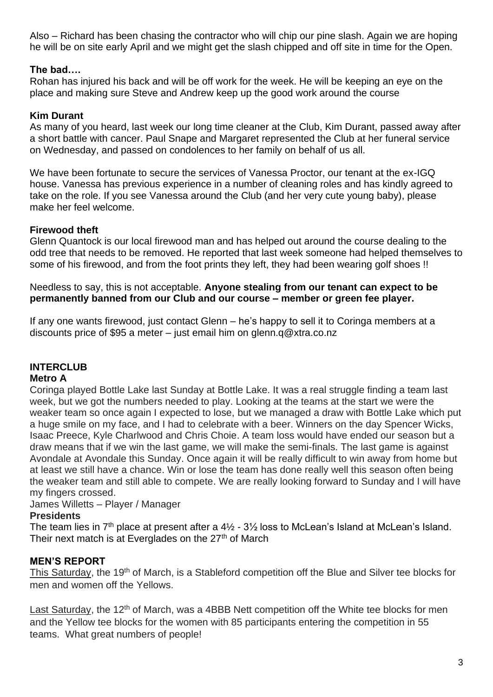Also – Richard has been chasing the contractor who will chip our pine slash. Again we are hoping he will be on site early April and we might get the slash chipped and off site in time for the Open.

# **The bad….**

Rohan has injured his back and will be off work for the week. He will be keeping an eye on the place and making sure Steve and Andrew keep up the good work around the course

## **Kim Durant**

As many of you heard, last week our long time cleaner at the Club, Kim Durant, passed away after a short battle with cancer. Paul Snape and Margaret represented the Club at her funeral service on Wednesday, and passed on condolences to her family on behalf of us all.

We have been fortunate to secure the services of Vanessa Proctor, our tenant at the ex-IGQ house. Vanessa has previous experience in a number of cleaning roles and has kindly agreed to take on the role. If you see Vanessa around the Club (and her very cute young baby), please make her feel welcome.

## **Firewood theft**

Glenn Quantock is our local firewood man and has helped out around the course dealing to the odd tree that needs to be removed. He reported that last week someone had helped themselves to some of his firewood, and from the foot prints they left, they had been wearing golf shoes !!

Needless to say, this is not acceptable. **Anyone stealing from our tenant can expect to be permanently banned from our Club and our course – member or green fee player.**

If any one wants firewood, just contact Glenn – he's happy to sell it to Coringa members at a discounts price of \$95 a meter – just email him on glenn.q@xtra.co.nz

#### **INTERCLUB Metro A**

Coringa played Bottle Lake last Sunday at Bottle Lake. It was a real struggle finding a team last week, but we got the numbers needed to play. Looking at the teams at the start we were the weaker team so once again I expected to lose, but we managed a draw with Bottle Lake which put a huge smile on my face, and I had to celebrate with a beer. Winners on the day Spencer Wicks, Isaac Preece, Kyle Charlwood and Chris Choie. A team loss would have ended our season but a draw means that if we win the last game, we will make the semi-finals. The last game is against Avondale at Avondale this Sunday. Once again it will be really difficult to win away from home but at least we still have a chance. Win or lose the team has done really well this season often being the weaker team and still able to compete. We are really looking forward to Sunday and I will have my fingers crossed.

## James Willetts – Player / Manager

## **Presidents**

The team lies in  $7<sup>th</sup>$  place at present after a  $4\frac{1}{2}$  -  $3\frac{1}{2}$  loss to McLean's Island at McLean's Island. Their next match is at Everglades on the  $27<sup>th</sup>$  of March

## **MEN'S REPORT**

This Saturday, the 19<sup>th</sup> of March, is a Stableford competition off the Blue and Silver tee blocks for men and women off the Yellows.

Last Saturday, the 12<sup>th</sup> of March, was a 4BBB Nett competition off the White tee blocks for men and the Yellow tee blocks for the women with 85 participants entering the competition in 55 teams. What great numbers of people!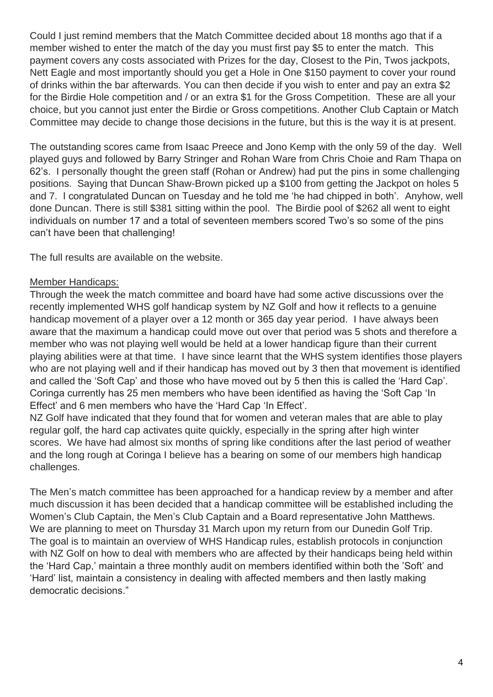Could I just remind members that the Match Committee decided about 18 months ago that if a member wished to enter the match of the day you must first pay \$5 to enter the match. This payment covers any costs associated with Prizes for the day, Closest to the Pin, Twos jackpots, Nett Eagle and most importantly should you get a Hole in One \$150 payment to cover your round of drinks within the bar afterwards. You can then decide if you wish to enter and pay an extra \$2 for the Birdie Hole competition and / or an extra \$1 for the Gross Competition. These are all your choice, but you cannot just enter the Birdie or Gross competitions. Another Club Captain or Match Committee may decide to change those decisions in the future, but this is the way it is at present.

The outstanding scores came from Isaac Preece and Jono Kemp with the only 59 of the day. Well played guys and followed by Barry Stringer and Rohan Ware from Chris Choie and Ram Thapa on 62's. I personally thought the green staff (Rohan or Andrew) had put the pins in some challenging positions. Saying that Duncan Shaw-Brown picked up a \$100 from getting the Jackpot on holes 5 and 7. I congratulated Duncan on Tuesday and he told me 'he had chipped in both'. Anyhow, well done Duncan. There is still \$381 sitting within the pool. The Birdie pool of \$262 all went to eight individuals on number 17 and a total of seventeen members scored Two's so some of the pins can't have been that challenging!

The full results are available on the website.

## Member Handicaps:

Through the week the match committee and board have had some active discussions over the recently implemented WHS golf handicap system by NZ Golf and how it reflects to a genuine handicap movement of a player over a 12 month or 365 day year period. I have always been aware that the maximum a handicap could move out over that period was 5 shots and therefore a member who was not playing well would be held at a lower handicap figure than their current playing abilities were at that time. I have since learnt that the WHS system identifies those players who are not playing well and if their handicap has moved out by 3 then that movement is identified and called the 'Soft Cap' and those who have moved out by 5 then this is called the 'Hard Cap'. Coringa currently has 25 men members who have been identified as having the 'Soft Cap 'In Effect' and 6 men members who have the 'Hard Cap 'In Effect'.

NZ Golf have indicated that they found that for women and veteran males that are able to play regular golf, the hard cap activates quite quickly, especially in the spring after high winter scores. We have had almost six months of spring like conditions after the last period of weather and the long rough at Coringa I believe has a bearing on some of our members high handicap challenges.

The Men's match committee has been approached for a handicap review by a member and after much discussion it has been decided that a handicap committee will be established including the Women's Club Captain, the Men's Club Captain and a Board representative John Matthews. We are planning to meet on Thursday 31 March upon my return from our Dunedin Golf Trip. The goal is to maintain an overview of WHS Handicap rules, establish protocols in conjunction with NZ Golf on how to deal with members who are affected by their handicaps being held within the 'Hard Cap,' maintain a three monthly audit on members identified within both the 'Soft' and 'Hard' list, maintain a consistency in dealing with affected members and then lastly making democratic decisions."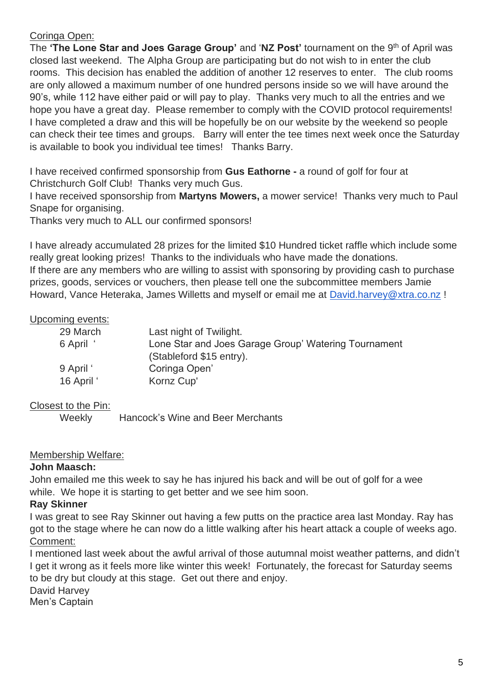## Coringa Open:

The **'The Lone Star and Joes Garage Group'** and '**NZ Post'** tournament on the 9th of April was closed last weekend. The Alpha Group are participating but do not wish to in enter the club rooms. This decision has enabled the addition of another 12 reserves to enter. The club rooms are only allowed a maximum number of one hundred persons inside so we will have around the 90's, while 112 have either paid or will pay to play. Thanks very much to all the entries and we hope you have a great day. Please remember to comply with the COVID protocol requirements! I have completed a draw and this will be hopefully be on our website by the weekend so people can check their tee times and groups. Barry will enter the tee times next week once the Saturday is available to book you individual tee times! Thanks Barry.

I have received confirmed sponsorship from **Gus Eathorne -** a round of golf for four at Christchurch Golf Club! Thanks very much Gus.

I have received sponsorship from **Martyns Mowers,** a mower service! Thanks very much to Paul Snape for organising.

Thanks very much to ALL our confirmed sponsors!

I have already accumulated 28 prizes for the limited \$10 Hundred ticket raffle which include some really great looking prizes! Thanks to the individuals who have made the donations. If there are any members who are willing to assist with sponsoring by providing cash to purchase prizes, goods, services or vouchers, then please tell one the subcommittee members Jamie Howard, Vance Heteraka, James Willetts and myself or email me at [David.harvey@xtra.co.nz](mailto:David.harvey@xtra.co.nz) !

# Upcoming events:

| 29 March   | Last night of Twilight.                              |
|------------|------------------------------------------------------|
|            |                                                      |
| 6 April '  | Lone Star and Joes Garage Group' Watering Tournament |
|            | (Stableford \$15 entry).                             |
| 9 April '  | Coringa Open'                                        |
| 16 April ' | Kornz Cup'                                           |
|            |                                                      |

## Closest to the Pin:

Weekly Hancock's Wine and Beer Merchants

## Membership Welfare:

## **John Maasch:**

John emailed me this week to say he has injured his back and will be out of golf for a wee while. We hope it is starting to get better and we see him soon.

# **Ray Skinner**

I was great to see Ray Skinner out having a few putts on the practice area last Monday. Ray has got to the stage where he can now do a little walking after his heart attack a couple of weeks ago. Comment:

I mentioned last week about the awful arrival of those autumnal moist weather patterns, and didn't I get it wrong as it feels more like winter this week! Fortunately, the forecast for Saturday seems to be dry but cloudy at this stage. Get out there and enjoy.

David Harvey

Men's Captain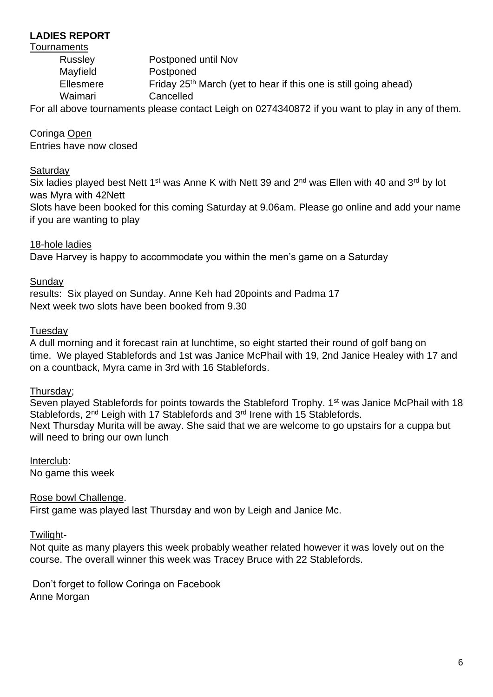## **LADIES REPORT**

**Tournaments** Russley Postponed until Nov Mayfield Postponed Ellesmere Friday  $25<sup>th</sup>$  March (yet to hear if this one is still going ahead) Waimari Cancelled

For all above tournaments please contact Leigh on 0274340872 if you want to play in any of them.

Coringa Open Entries have now closed

### **Saturday**

Six ladies played best Nett 1<sup>st</sup> was Anne K with Nett 39 and  $2<sup>nd</sup>$  was Ellen with 40 and 3<sup>rd</sup> by lot was Myra with 42Nett

Slots have been booked for this coming Saturday at 9.06am. Please go online and add your name if you are wanting to play

### 18-hole ladies

Dave Harvey is happy to accommodate you within the men's game on a Saturday

### Sunday

results: Six played on Sunday. Anne Keh had 20points and Padma 17 Next week two slots have been booked from 9.30

### **Tuesdav**

A dull morning and it forecast rain at lunchtime, so eight started their round of golf bang on time. We played Stablefords and 1st was Janice McPhail with 19, 2nd Janice Healey with 17 and on a countback, Myra came in 3rd with 16 Stablefords.

### Thursday;

Seven played Stablefords for points towards the Stableford Trophy. 1<sup>st</sup> was Janice McPhail with 18 Stablefords, 2<sup>nd</sup> Leigh with 17 Stablefords and 3<sup>rd</sup> Irene with 15 Stablefords. Next Thursday Murita will be away. She said that we are welcome to go upstairs for a cuppa but will need to bring our own lunch

Interclub: No game this week

### Rose bowl Challenge.

First game was played last Thursday and won by Leigh and Janice Mc.

Twilight-

Not quite as many players this week probably weather related however it was lovely out on the course. The overall winner this week was Tracey Bruce with 22 Stablefords.

Don't forget to follow Coringa on Facebook Anne Morgan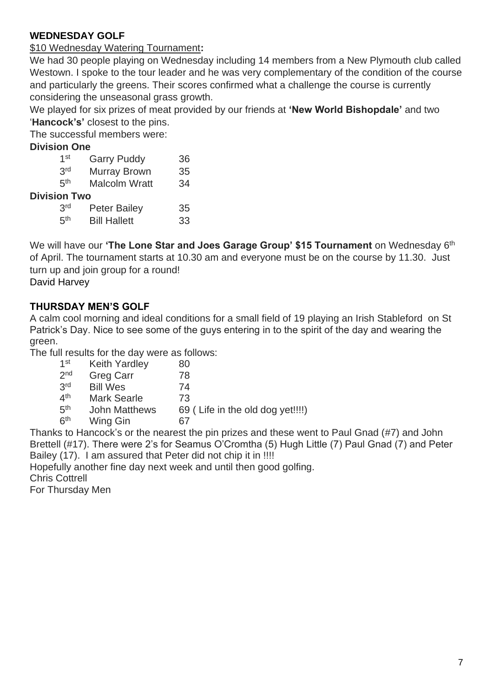## **WEDNESDAY GOLF**

### \$10 Wednesday Watering Tournament**:**

We had 30 people playing on Wednesday including 14 members from a New Plymouth club called Westown. I spoke to the tour leader and he was very complementary of the condition of the course and particularly the greens. Their scores confirmed what a challenge the course is currently considering the unseasonal grass growth.

We played for six prizes of meat provided by our friends at **'New World Bishopdale'** and two '**Hancock's'** closest to the pins.

The successful members were:

### **Division One**

| $1$ st              | <b>Garry Puddy</b>   | 36 |
|---------------------|----------------------|----|
| 3rd                 | <b>Murray Brown</b>  | 35 |
| 5 <sup>th</sup>     | <b>Malcolm Wratt</b> | 34 |
| <b>Division Two</b> |                      |    |
| 3rd                 | <b>Peter Bailey</b>  | 35 |
| 5 <sup>th</sup>     | <b>Bill Hallett</b>  | 33 |

We will have our **The Lone Star and Joes Garage Group' \$15 Tournament** on Wednesday 6<sup>th</sup> of April. The tournament starts at 10.30 am and everyone must be on the course by 11.30. Just turn up and join group for a round!

David Harvey

# **THURSDAY MEN'S GOLF**

A calm cool morning and ideal conditions for a small field of 19 playing an Irish Stableford on St Patrick's Day. Nice to see some of the guys entering in to the spirit of the day and wearing the green.

The full results for the day were as follows:

| 1 <sup>st</sup> | <b>Keith Yardley</b> | 80                               |
|-----------------|----------------------|----------------------------------|
| 2 <sub>nd</sub> | <b>Greg Carr</b>     | 78                               |
| 3 <sup>rd</sup> | <b>Bill Wes</b>      | 74                               |
| 4 <sup>th</sup> | <b>Mark Searle</b>   | 73                               |
| 5 <sup>th</sup> | <b>John Matthews</b> | 69 (Life in the old dog yet!!!!) |
| 6 <sup>th</sup> | Wing Gin             | 67                               |

Thanks to Hancock's or the nearest the pin prizes and these went to Paul Gnad (#7) and John Brettell (#17). There were 2's for Seamus O'Cromtha (5) Hugh Little (7) Paul Gnad (7) and Peter Bailey (17). I am assured that Peter did not chip it in !!!!

Hopefully another fine day next week and until then good golfing.

Chris Cottrell

For Thursday Men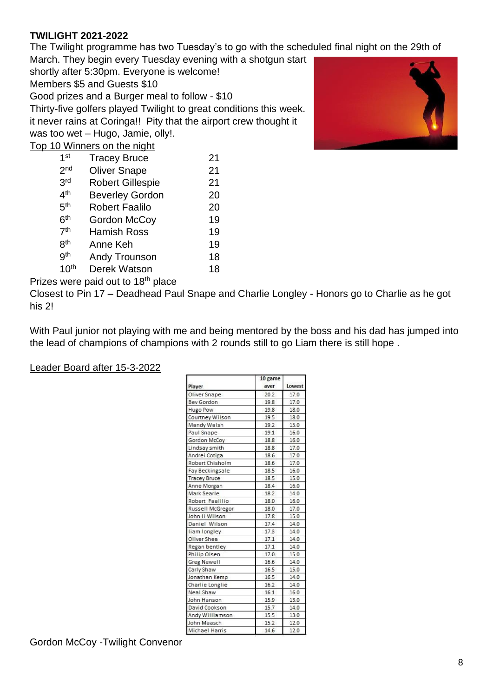## **TWILIGHT 2021-2022**

The Twilight programme has two Tuesday's to go with the scheduled final night on the 29th of March. They begin every Tuesday evening with a shotgun start

shortly after 5:30pm. Everyone is welcome!

Members \$5 and Guests \$10

Good prizes and a Burger meal to follow - \$10 Thirty-five golfers played Twilight to great conditions this week. it never rains at Coringa!! Pity that the airport crew thought it

was too wet – Hugo, Jamie, olly!.

Top 10 Winners on the night

| <b>Tracey Bruce</b>     | 21 |
|-------------------------|----|
| <b>Oliver Snape</b>     | 21 |
| <b>Robert Gillespie</b> | 21 |
| <b>Beverley Gordon</b>  | 20 |
| <b>Robert Faalilo</b>   | 20 |
| <b>Gordon McCoy</b>     | 19 |
| <b>Hamish Ross</b>      | 19 |
| Anne Keh                | 19 |
| <b>Andy Trounson</b>    | 18 |
| Derek Watson            | 18 |
|                         |    |

Prizes were paid out to 18<sup>th</sup> place

Closest to Pin 17 – Deadhead Paul Snape and Charlie Longley - Honors go to Charlie as he got his 2!

With Paul junior not playing with me and being mentored by the boss and his dad has jumped into the lead of champions of champions with 2 rounds still to go Liam there is still hope .

### Leader Board after 15-3-2022

|                       | 10 game |        |  |
|-----------------------|---------|--------|--|
| Player                | aver    | Lowest |  |
| Oliver Snape          | 20.2    | 17.0   |  |
| <b>Bev Gordon</b>     | 19.8    | 17.0   |  |
| Hugo Pow              | 19.8    | 18.0   |  |
| Courtney Wilson       | 19.5    | 18.0   |  |
| Mandy Walsh           | 19.2    | 15.0   |  |
| Paul Snape            | 19.1    | 16.0   |  |
| Gordon McCoy          | 18.8    | 16.0   |  |
| Lindsay smith         | 18.8    | 17.0   |  |
| Andrei Cotiga         | 18.6    | 17.0   |  |
| Robert Chisholm       | 18.6    | 17.0   |  |
| Fay Beckingsale       | 18.5    | 16.0   |  |
| <b>Tracey Bruce</b>   | 18.5    | 15.0   |  |
| Anne Morgan           | 18.4    | 16.0   |  |
| Mark Searle           | 18.2    | 14.0   |  |
| Robert Faalilio       | 18.0    | 16.0   |  |
| Russell McGregor      | 18.0    | 17.0   |  |
| John H Wilson         | 17.8    | 15.0   |  |
| Daniel Wilson         | 17.4    | 14.0   |  |
| liam longley          | 17.3    | 14.0   |  |
| Oliver Shea           | 17.1    | 14.0   |  |
| Regan bentley         | 17.1    | 14.0   |  |
| Philip Olsen          | 17.0    | 15.0   |  |
| <b>Greg Newell</b>    | 16.6    | 14.0   |  |
| Carly Shaw            | 16.5    | 15.0   |  |
| Jonathan Kemp         | 16.5    | 14.0   |  |
| Charlie Longlie       | 16.2    | 14.0   |  |
| Neal Shaw             | 16.1    | 16.0   |  |
| John Hanson           | 15.9    | 13.0   |  |
| David Cookson         | 15.7    | 14.0   |  |
| Andy Williamson       | 15.5    | 13.0   |  |
| John Maasch           | 15.2    | 12.0   |  |
| <b>Michael Harris</b> | 14.6    | 12.0   |  |

Gordon McCoy -Twilight Convenor